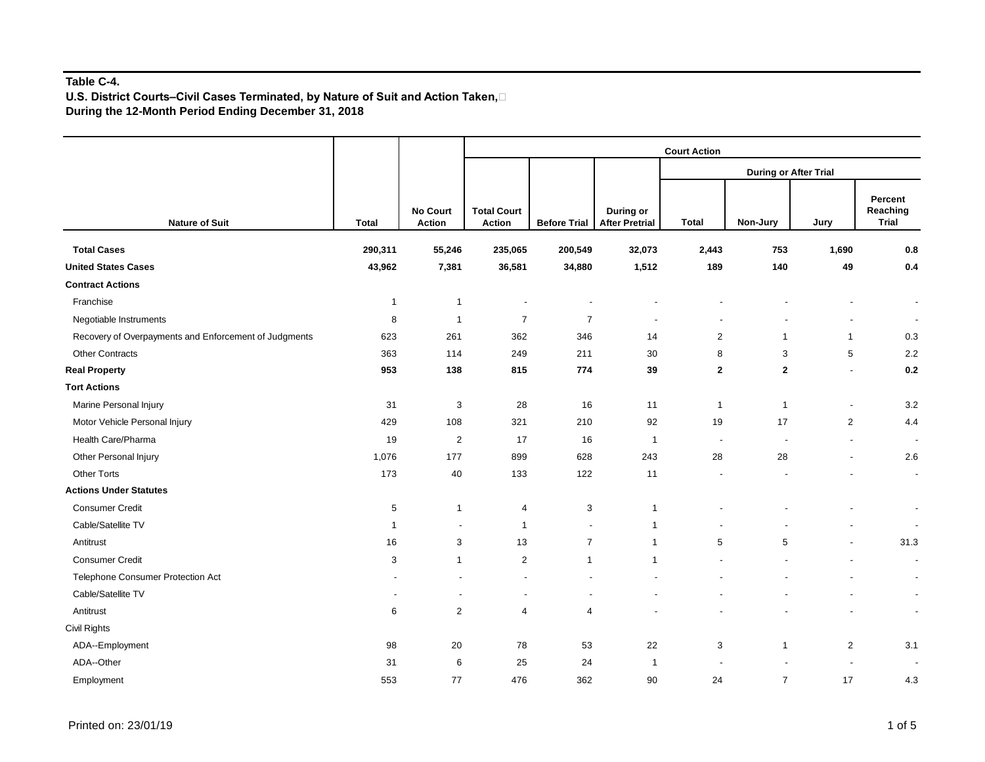## **Table C-4.**

**U.S. District Courts–Civil Cases Terminated, by Nature of Suit and Action Taken, During the 12-Month Period Ending December 31, 2018** 

|                                                       |              | <b>No Court</b><br><b>Action</b> | <b>Court Action</b>                 |                     |                                    |                              |                |                          |                                     |  |  |  |
|-------------------------------------------------------|--------------|----------------------------------|-------------------------------------|---------------------|------------------------------------|------------------------------|----------------|--------------------------|-------------------------------------|--|--|--|
|                                                       |              |                                  |                                     |                     |                                    | <b>During or After Trial</b> |                |                          |                                     |  |  |  |
| <b>Nature of Suit</b>                                 | <b>Total</b> |                                  | <b>Total Court</b><br><b>Action</b> | <b>Before Trial</b> | During or<br><b>After Pretrial</b> | <b>Total</b>                 | Non-Jury       | Jury                     | Percent<br>Reaching<br><b>Trial</b> |  |  |  |
| <b>Total Cases</b>                                    | 290,311      | 55,246                           | 235,065                             | 200,549             | 32,073                             | 2,443                        | 753            | 1,690                    | 0.8                                 |  |  |  |
| <b>United States Cases</b>                            | 43,962       | 7,381                            | 36,581                              | 34,880              | 1,512                              | 189                          | 140            | 49                       | $0.4\,$                             |  |  |  |
| <b>Contract Actions</b>                               |              |                                  |                                     |                     |                                    |                              |                |                          |                                     |  |  |  |
| Franchise                                             | $\mathbf 1$  | $\mathbf{1}$                     |                                     |                     |                                    |                              |                |                          | $\overline{\phantom{a}}$            |  |  |  |
| Negotiable Instruments                                | 8            | $\mathbf{1}$                     | $\overline{7}$                      | $\overline{7}$      | $\overline{a}$                     | $\overline{\phantom{a}}$     |                |                          | $\sim$                              |  |  |  |
| Recovery of Overpayments and Enforcement of Judgments | 623          | 261                              | 362                                 | 346                 | 14                                 | 2                            | $\mathbf{1}$   | $\mathbf{1}$             | 0.3                                 |  |  |  |
| <b>Other Contracts</b>                                | 363          | 114                              | 249                                 | 211                 | 30                                 | 8                            | 3              | $\sqrt{5}$               | 2.2                                 |  |  |  |
| <b>Real Property</b>                                  | 953          | 138                              | 815                                 | 774                 | 39                                 | $\overline{\mathbf{2}}$      | $\mathbf{2}$   | $\overline{a}$           | 0.2                                 |  |  |  |
| <b>Tort Actions</b>                                   |              |                                  |                                     |                     |                                    |                              |                |                          |                                     |  |  |  |
| Marine Personal Injury                                | 31           | 3                                | 28                                  | 16                  | 11                                 | $\overline{1}$               | $\mathbf{1}$   | $\overline{\phantom{a}}$ | 3.2                                 |  |  |  |
| Motor Vehicle Personal Injury                         | 429          | 108                              | 321                                 | 210                 | 92                                 | 19                           | 17             | 2                        | 4.4                                 |  |  |  |
| Health Care/Pharma                                    | 19           | $\overline{2}$                   | 17                                  | 16                  | $\overline{1}$                     | $\overline{\phantom{a}}$     | $\overline{a}$ | ÷,                       | $\overline{\phantom{a}}$            |  |  |  |
| Other Personal Injury                                 | 1,076        | 177                              | 899                                 | 628                 | 243                                | 28                           | 28             | ٠                        | 2.6                                 |  |  |  |
| <b>Other Torts</b>                                    | 173          | $40\,$                           | 133                                 | 122                 | 11                                 |                              |                |                          | $\overline{\phantom{a}}$            |  |  |  |
| <b>Actions Under Statutes</b>                         |              |                                  |                                     |                     |                                    |                              |                |                          |                                     |  |  |  |
| <b>Consumer Credit</b>                                | 5            | $\mathbf{1}$                     | 4                                   | 3                   | $\mathbf{1}$                       |                              |                |                          | $\blacksquare$                      |  |  |  |
| Cable/Satellite TV                                    | -1           | $\overline{\phantom{a}}$         | $\overline{1}$                      | $\overline{a}$      | $\mathbf{1}$                       |                              |                |                          | $\overline{\phantom{a}}$            |  |  |  |
| Antitrust                                             | 16           | 3                                | 13                                  | $\overline{7}$      | $\mathbf{1}$                       | 5                            | 5              |                          | 31.3                                |  |  |  |
| Consumer Credit                                       | 3            | $\mathbf{1}$                     | $\overline{2}$                      | $\mathbf{1}$        | $\mathbf{1}$                       |                              |                |                          | $\blacksquare$                      |  |  |  |
| Telephone Consumer Protection Act                     |              | $\overline{\phantom{a}}$         |                                     |                     | ÷                                  |                              |                |                          | $\overline{\phantom{a}}$            |  |  |  |
| Cable/Satellite TV                                    |              | $\blacksquare$                   |                                     |                     |                                    |                              |                |                          | $\overline{\phantom{a}}$            |  |  |  |
| Antitrust                                             | 6            | $\overline{2}$                   | $\overline{4}$                      | $\overline{4}$      |                                    |                              |                |                          | $\overline{\phantom{a}}$            |  |  |  |
| Civil Rights                                          |              |                                  |                                     |                     |                                    |                              |                |                          |                                     |  |  |  |
| ADA--Employment                                       | 98           | 20                               | 78                                  | 53                  | 22                                 | 3                            | 1              | 2                        | 3.1                                 |  |  |  |
| ADA--Other                                            | 31           | 6                                | 25                                  | 24                  | $\mathbf{1}$                       |                              |                |                          |                                     |  |  |  |
| Employment                                            | 553          | 77                               | 476                                 | 362                 | 90                                 | 24                           | $\overline{7}$ | 17                       | 4.3                                 |  |  |  |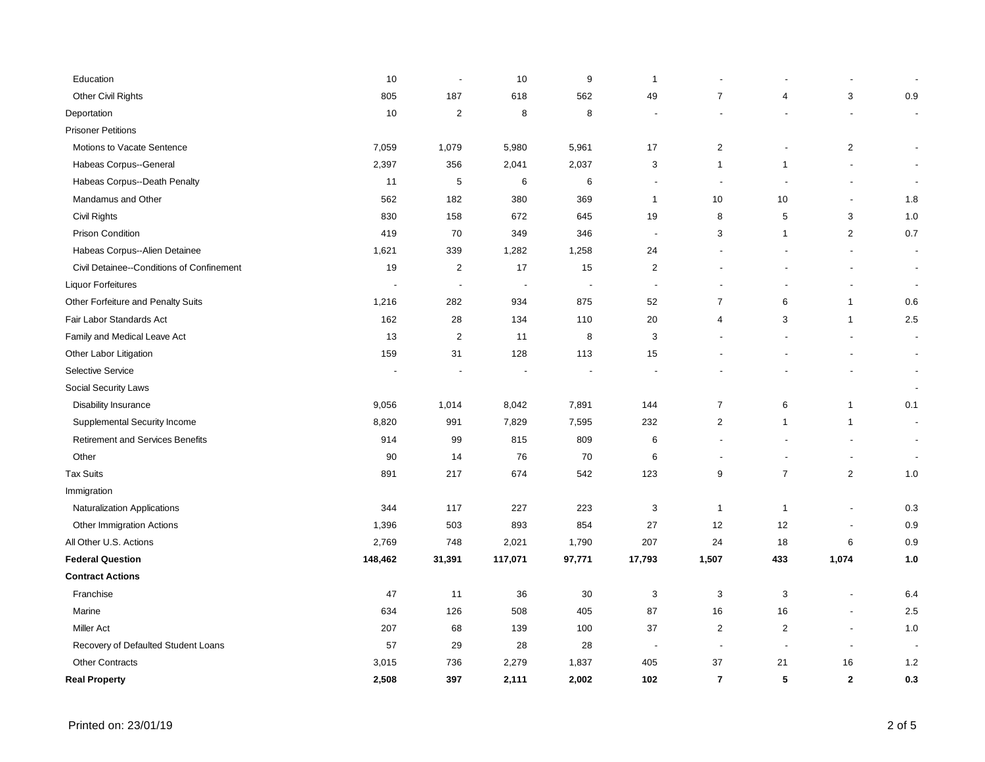| Education                                 | 10             | ÷,                       | 10                       | 9                        | $\mathbf{1}$              |                |                         |                          |                          |
|-------------------------------------------|----------------|--------------------------|--------------------------|--------------------------|---------------------------|----------------|-------------------------|--------------------------|--------------------------|
| Other Civil Rights                        | 805            | 187                      | 618                      | 562                      | 49                        | $\overline{7}$ | $\overline{\mathbf{4}}$ | 3                        | 0.9                      |
| Deportation                               | 10             | $\sqrt{2}$               | 8                        | 8                        |                           |                |                         |                          | $\overline{\phantom{a}}$ |
| <b>Prisoner Petitions</b>                 |                |                          |                          |                          |                           |                |                         |                          |                          |
| Motions to Vacate Sentence                | 7,059          | 1,079                    | 5,980                    | 5,961                    | 17                        | $\overline{2}$ |                         | $\overline{2}$           |                          |
| Habeas Corpus--General                    | 2,397          | 356                      | 2,041                    | 2,037                    | $\ensuremath{\mathsf{3}}$ | $\mathbf{1}$   | $\mathbf{1}$            |                          |                          |
| Habeas Corpus--Death Penalty              | 11             | $\sqrt{5}$               | 6                        | 6                        | $\overline{\phantom{a}}$  | $\blacksquare$ |                         | $\overline{a}$           |                          |
| Mandamus and Other                        | 562            | 182                      | 380                      | 369                      | $\mathbf{1}$              | 10             | 10                      | $\blacksquare$           | 1.8                      |
| Civil Rights                              | 830            | 158                      | 672                      | 645                      | 19                        | 8              | 5                       | 3                        | 1.0                      |
| Prison Condition                          | 419            | 70                       | 349                      | 346                      | $\sim$                    | 3              | $\mathbf{1}$            | $\overline{a}$           | 0.7                      |
| Habeas Corpus--Alien Detainee             | 1,621          | 339                      | 1,282                    | 1,258                    | 24                        |                |                         | $\blacksquare$           | $\overline{\phantom{a}}$ |
| Civil Detainee--Conditions of Confinement | 19             | $\overline{c}$           | 17                       | 15                       | $\boldsymbol{2}$          |                |                         |                          | $\blacksquare$           |
| <b>Liquor Forfeitures</b>                 | $\blacksquare$ | $\overline{\phantom{a}}$ | $\overline{\phantom{a}}$ | $\overline{\phantom{a}}$ | $\overline{\phantom{a}}$  |                |                         |                          | $\blacksquare$           |
| Other Forfeiture and Penalty Suits        | 1,216          | 282                      | 934                      | 875                      | 52                        | $\overline{7}$ | 6                       | $\mathbf{1}$             | 0.6                      |
| Fair Labor Standards Act                  | 162            | 28                       | 134                      | 110                      | 20                        | $\overline{4}$ | 3                       | $\mathbf{1}$             | 2.5                      |
| Family and Medical Leave Act              | 13             | $\overline{c}$           | 11                       | 8                        | 3                         |                |                         |                          | $\blacksquare$           |
| Other Labor Litigation                    | 159            | 31                       | 128                      | 113                      | 15                        |                |                         |                          | $\blacksquare$           |
| <b>Selective Service</b>                  |                |                          |                          |                          |                           |                |                         |                          |                          |
| Social Security Laws                      |                |                          |                          |                          |                           |                |                         |                          |                          |
| Disability Insurance                      | 9,056          | 1,014                    | 8,042                    | 7,891                    | 144                       | $\overline{7}$ | 6                       | $\mathbf{1}$             | 0.1                      |
| Supplemental Security Income              | 8,820          | 991                      | 7,829                    | 7,595                    | 232                       | $\overline{2}$ | $\mathbf{1}$            | $\mathbf{1}$             | $\overline{\phantom{a}}$ |
| Retirement and Services Benefits          | 914            | 99                       | 815                      | 809                      | 6                         |                |                         |                          | $\blacksquare$           |
| Other                                     | 90             | 14                       | 76                       | 70                       | 6                         |                |                         | $\overline{a}$           | $\overline{\phantom{a}}$ |
| <b>Tax Suits</b>                          | 891            | 217                      | 674                      | 542                      | 123                       | 9              | $\overline{7}$          | $\overline{2}$           | 1.0                      |
| Immigration                               |                |                          |                          |                          |                           |                |                         |                          |                          |
| Naturalization Applications               | 344            | 117                      | 227                      | 223                      | 3                         | $\mathbf{1}$   | $\mathbf{1}$            | $\sim$                   | 0.3                      |
| Other Immigration Actions                 | 1,396          | 503                      | 893                      | 854                      | 27                        | 12             | 12                      | $\blacksquare$           | 0.9                      |
| All Other U.S. Actions                    | 2,769          | 748                      | 2,021                    | 1,790                    | 207                       | 24             | 18                      | 6                        | $0.9\,$                  |
| <b>Federal Question</b>                   | 148,462        | 31,391                   | 117,071                  | 97,771                   | 17,793                    | 1,507          | 433                     | 1,074                    | 1.0                      |
| <b>Contract Actions</b>                   |                |                          |                          |                          |                           |                |                         |                          |                          |
| Franchise                                 | 47             | 11                       | 36                       | 30                       | $\sqrt{3}$                | $\mathbf{3}$   | 3                       | $\overline{\phantom{a}}$ | 6.4                      |
| Marine                                    | 634            | 126                      | 508                      | 405                      | 87                        | 16             | 16                      | $\blacksquare$           | 2.5                      |
| <b>Miller Act</b>                         | 207            | 68                       | 139                      | 100                      | 37                        | $\overline{2}$ | 2                       | $\overline{\phantom{a}}$ | 1.0                      |
| Recovery of Defaulted Student Loans       | 57             | 29                       | 28                       | 28                       | $\overline{\phantom{a}}$  | $\blacksquare$ |                         | $\blacksquare$           |                          |
| <b>Other Contracts</b>                    | 3,015          | 736                      | 2,279                    | 1,837                    | 405                       | 37             | 21                      | 16                       | $1.2$                    |
| <b>Real Property</b>                      | 2,508          | 397                      | 2,111                    | 2,002                    | 102                       | $\overline{7}$ | 5                       | $\mathbf{2}$             | 0.3                      |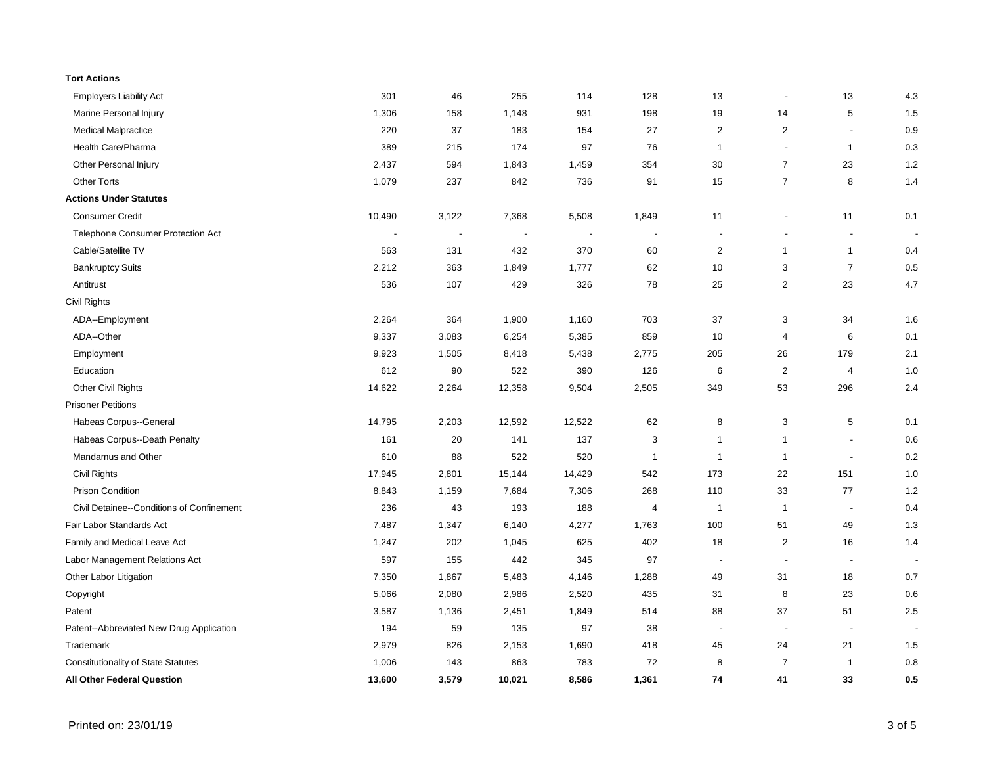| <b>Tort Actions</b>                        |                          |                          |        |                          |                          |                          |                          |                          |     |
|--------------------------------------------|--------------------------|--------------------------|--------|--------------------------|--------------------------|--------------------------|--------------------------|--------------------------|-----|
| <b>Employers Liability Act</b>             | 301                      | 46                       | 255    | 114                      | 128                      | 13                       | $\blacksquare$           | 13                       | 4.3 |
| Marine Personal Injury                     | 1,306                    | 158                      | 1,148  | 931                      | 198                      | 19                       | 14                       | 5                        | 1.5 |
| <b>Medical Malpractice</b>                 | 220                      | 37                       | 183    | 154                      | 27                       | $\overline{2}$           | 2                        | $\overline{a}$           | 0.9 |
| Health Care/Pharma                         | 389                      | 215                      | 174    | 97                       | 76                       | $\mathbf{1}$             | $\blacksquare$           | $\mathbf{1}$             | 0.3 |
| Other Personal Injury                      | 2,437                    | 594                      | 1,843  | 1,459                    | 354                      | 30                       | $\overline{7}$           | 23                       | 1.2 |
| <b>Other Torts</b>                         | 1,079                    | 237                      | 842    | 736                      | 91                       | 15                       | $\overline{7}$           | 8                        | 1.4 |
| <b>Actions Under Statutes</b>              |                          |                          |        |                          |                          |                          |                          |                          |     |
| <b>Consumer Credit</b>                     | 10,490                   | 3,122                    | 7,368  | 5,508                    | 1,849                    | 11                       | $\overline{\phantom{a}}$ | 11                       | 0.1 |
| Telephone Consumer Protection Act          | $\overline{\phantom{a}}$ | $\overline{\phantom{a}}$ |        | $\overline{\phantom{a}}$ | $\overline{\phantom{a}}$ | $\overline{\phantom{a}}$ | $\overline{\phantom{a}}$ | $\overline{\phantom{a}}$ |     |
| Cable/Satellite TV                         | 563                      | 131                      | 432    | 370                      | 60                       | $\sqrt{2}$               | $\mathbf{1}$             | $\mathbf{1}$             | 0.4 |
| <b>Bankruptcy Suits</b>                    | 2,212                    | 363                      | 1,849  | 1,777                    | 62                       | 10                       | 3                        | $\overline{7}$           | 0.5 |
| Antitrust                                  | 536                      | 107                      | 429    | 326                      | 78                       | 25                       | $\overline{2}$           | 23                       | 4.7 |
| Civil Rights                               |                          |                          |        |                          |                          |                          |                          |                          |     |
| ADA--Employment                            | 2,264                    | 364                      | 1,900  | 1,160                    | 703                      | 37                       | 3                        | 34                       | 1.6 |
| ADA--Other                                 | 9,337                    | 3,083                    | 6,254  | 5,385                    | 859                      | 10                       | $\overline{4}$           | 6                        | 0.1 |
| Employment                                 | 9,923                    | 1,505                    | 8,418  | 5,438                    | 2,775                    | 205                      | 26                       | 179                      | 2.1 |
| Education                                  | 612                      | 90                       | 522    | 390                      | 126                      | 6                        | 2                        | $\overline{4}$           | 1.0 |
| <b>Other Civil Rights</b>                  | 14,622                   | 2,264                    | 12,358 | 9,504                    | 2,505                    | 349                      | 53                       | 296                      | 2.4 |
| <b>Prisoner Petitions</b>                  |                          |                          |        |                          |                          |                          |                          |                          |     |
| Habeas Corpus--General                     | 14,795                   | 2,203                    | 12,592 | 12,522                   | 62                       | 8                        | 3                        | 5                        | 0.1 |
| Habeas Corpus--Death Penalty               | 161                      | $20\,$                   | 141    | 137                      | 3                        | $\mathbf{1}$             | $\mathbf{1}$             | $\overline{a}$           | 0.6 |
| Mandamus and Other                         | 610                      | 88                       | 522    | 520                      | $\overline{1}$           | $\overline{1}$           | $\mathbf{1}$             | $\overline{\phantom{a}}$ | 0.2 |
| Civil Rights                               | 17,945                   | 2,801                    | 15,144 | 14,429                   | 542                      | 173                      | 22                       | 151                      | 1.0 |
| <b>Prison Condition</b>                    | 8,843                    | 1,159                    | 7,684  | 7,306                    | 268                      | 110                      | 33                       | 77                       | 1.2 |
| Civil Detainee--Conditions of Confinement  | 236                      | 43                       | 193    | 188                      | 4                        | $\overline{1}$           | $\mathbf{1}$             | $\overline{\phantom{a}}$ | 0.4 |
| Fair Labor Standards Act                   | 7,487                    | 1,347                    | 6,140  | 4,277                    | 1,763                    | 100                      | 51                       | 49                       | 1.3 |
| Family and Medical Leave Act               | 1,247                    | 202                      | 1,045  | 625                      | 402                      | 18                       | 2                        | 16                       | 1.4 |
| Labor Management Relations Act             | 597                      | 155                      | 442    | 345                      | 97                       | $\overline{\phantom{a}}$ | $\blacksquare$           | $\overline{\phantom{a}}$ |     |
| Other Labor Litigation                     | 7,350                    | 1,867                    | 5,483  | 4,146                    | 1,288                    | 49                       | 31                       | 18                       | 0.7 |
| Copyright                                  | 5,066                    | 2,080                    | 2,986  | 2,520                    | 435                      | 31                       | 8                        | 23                       | 0.6 |
| Patent                                     | 3,587                    | 1,136                    | 2,451  | 1,849                    | 514                      | 88                       | 37                       | 51                       | 2.5 |
| Patent--Abbreviated New Drug Application   | 194                      | 59                       | 135    | 97                       | 38                       | $\overline{\phantom{a}}$ | $\overline{\phantom{a}}$ | $\overline{\phantom{a}}$ |     |
| Trademark                                  | 2,979                    | 826                      | 2,153  | 1,690                    | 418                      | 45                       | 24                       | 21                       | 1.5 |
| <b>Constitutionality of State Statutes</b> | 1,006                    | 143                      | 863    | 783                      | 72                       | 8                        | $\overline{7}$           | $\mathbf{1}$             | 0.8 |
| <b>All Other Federal Question</b>          | 13,600                   | 3,579                    | 10,021 | 8,586                    | 1,361                    | 74                       | 41                       | 33                       | 0.5 |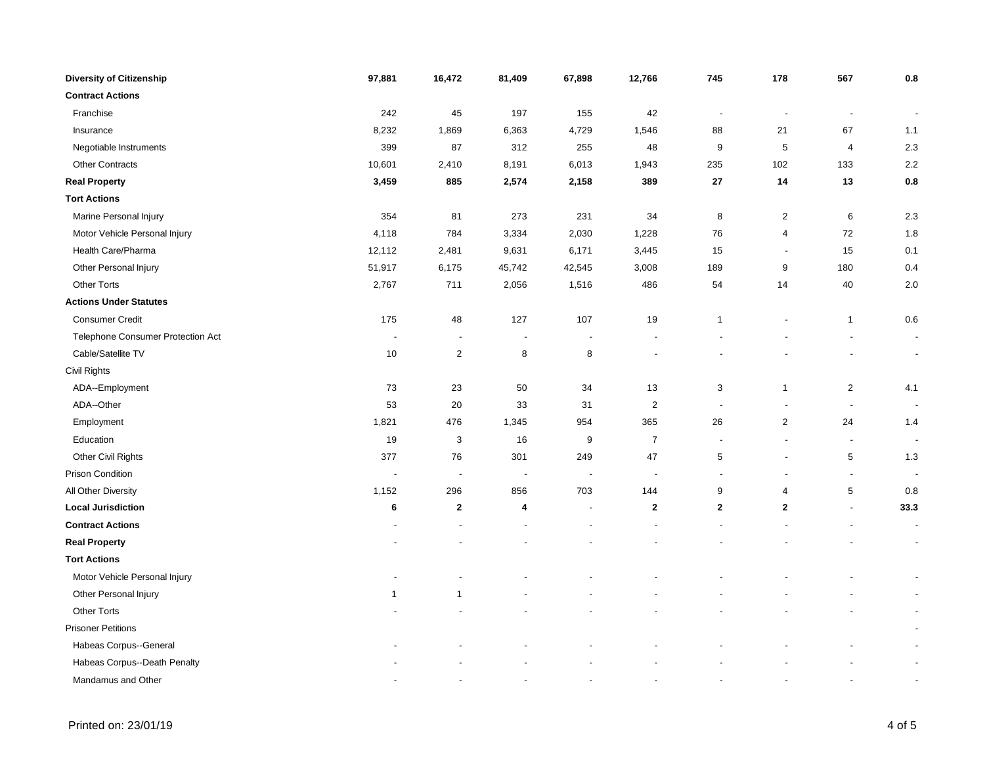| <b>Diversity of Citizenship</b>   | 97,881                   | 16,472                   | 81,409                   | 67,898                   | 12,766                   | 745              | 178                      | 567                      | 0.8                      |
|-----------------------------------|--------------------------|--------------------------|--------------------------|--------------------------|--------------------------|------------------|--------------------------|--------------------------|--------------------------|
| <b>Contract Actions</b>           |                          |                          |                          |                          |                          |                  |                          |                          |                          |
| Franchise                         | 242                      | 45                       | 197                      | 155                      | 42                       | $\blacksquare$   | $\overline{\phantom{a}}$ | $\overline{\phantom{a}}$ | $\overline{\phantom{a}}$ |
| Insurance                         | 8,232                    | 1,869                    | 6,363                    | 4,729                    | 1,546                    | 88               | 21                       | 67                       | 1.1                      |
| Negotiable Instruments            | 399                      | 87                       | 312                      | 255                      | 48                       | 9                | $\sqrt{5}$               | 4                        | 2.3                      |
| <b>Other Contracts</b>            | 10,601                   | 2,410                    | 8,191                    | 6,013                    | 1,943                    | 235              | 102                      | 133                      | $2.2\,$                  |
| <b>Real Property</b>              | 3,459                    | 885                      | 2,574                    | 2,158                    | 389                      | 27               | 14                       | 13                       | $0.8\,$                  |
| <b>Tort Actions</b>               |                          |                          |                          |                          |                          |                  |                          |                          |                          |
| Marine Personal Injury            | 354                      | 81                       | 273                      | 231                      | 34                       | 8                | $\overline{2}$           | $\,6\,$                  | 2.3                      |
| Motor Vehicle Personal Injury     | 4,118                    | 784                      | 3,334                    | 2,030                    | 1,228                    | 76               | 4                        | 72                       | 1.8                      |
| Health Care/Pharma                | 12,112                   | 2,481                    | 9,631                    | 6,171                    | 3,445                    | 15               |                          | 15                       | 0.1                      |
| Other Personal Injury             | 51,917                   | 6,175                    | 45,742                   | 42,545                   | 3,008                    | 189              | 9                        | 180                      | 0.4                      |
| <b>Other Torts</b>                | 2,767                    | 711                      | 2,056                    | 1,516                    | 486                      | 54               | 14                       | 40                       | $2.0\,$                  |
| <b>Actions Under Statutes</b>     |                          |                          |                          |                          |                          |                  |                          |                          |                          |
| <b>Consumer Credit</b>            | 175                      | 48                       | 127                      | 107                      | 19                       | $\mathbf{1}$     |                          | $\mathbf{1}$             | 0.6                      |
| Telephone Consumer Protection Act | $\overline{\phantom{a}}$ | $\overline{\phantom{a}}$ | $\overline{\phantom{a}}$ | $\overline{\phantom{a}}$ | $\overline{\phantom{a}}$ |                  |                          |                          | $\overline{\phantom{a}}$ |
| Cable/Satellite TV                | 10                       | $\overline{2}$           | 8                        | 8                        |                          |                  |                          |                          | $\blacksquare$           |
| Civil Rights                      |                          |                          |                          |                          |                          |                  |                          |                          |                          |
| ADA--Employment                   | 73                       | 23                       | 50                       | 34                       | 13                       | 3                | $\overline{1}$           | $\mathbf 2$              | 4.1                      |
| ADA--Other                        | 53                       | 20                       | 33                       | 31                       | $\overline{c}$           | $\sim$           |                          | $\blacksquare$           | $\overline{\phantom{a}}$ |
| Employment                        | 1,821                    | 476                      | 1,345                    | 954                      | 365                      | 26               | $\overline{2}$           | 24                       | 1.4                      |
| Education                         | 19                       | $\mathbf{3}$             | 16                       | 9                        | $\overline{7}$           | $\blacksquare$   |                          | $\overline{\phantom{a}}$ | $\overline{\phantom{a}}$ |
| Other Civil Rights                | 377                      | 76                       | 301                      | 249                      | 47                       | 5                |                          | $\,$ 5 $\,$              | 1.3                      |
| Prison Condition                  | $\overline{\phantom{a}}$ | $\overline{\phantom{a}}$ | $\blacksquare$           | $\overline{\phantom{a}}$ | $\overline{\phantom{a}}$ |                  |                          | $\blacksquare$           |                          |
| All Other Diversity               | 1,152                    | 296                      | 856                      | 703                      | 144                      | $\boldsymbol{9}$ | 4                        | $\,$ 5 $\,$              | 0.8                      |
| <b>Local Jurisdiction</b>         | 6                        | $\boldsymbol{2}$         | 4                        |                          | $\mathbf{2}$             | $\mathbf{2}$     | $\mathbf{2}$             | $\overline{\phantom{a}}$ | 33.3                     |
| <b>Contract Actions</b>           |                          |                          |                          |                          |                          |                  |                          |                          | $\blacksquare$           |
| <b>Real Property</b>              |                          |                          |                          |                          |                          |                  |                          |                          | $\overline{\phantom{a}}$ |
| <b>Tort Actions</b>               |                          |                          |                          |                          |                          |                  |                          |                          |                          |
| Motor Vehicle Personal Injury     |                          |                          |                          |                          |                          |                  |                          |                          | $\overline{\phantom{a}}$ |
| Other Personal Injury             | 1                        | $\mathbf{1}$             |                          |                          |                          |                  |                          |                          | $\overline{\phantom{a}}$ |
| <b>Other Torts</b>                |                          |                          |                          |                          |                          |                  |                          |                          | $\overline{\phantom{a}}$ |
| <b>Prisoner Petitions</b>         |                          |                          |                          |                          |                          |                  |                          |                          | $\overline{\phantom{a}}$ |
| Habeas Corpus--General            |                          |                          |                          |                          |                          |                  |                          |                          |                          |
| Habeas Corpus--Death Penalty      |                          |                          |                          |                          |                          |                  |                          |                          | $\blacksquare$           |
| Mandamus and Other                |                          |                          |                          |                          |                          |                  |                          |                          |                          |